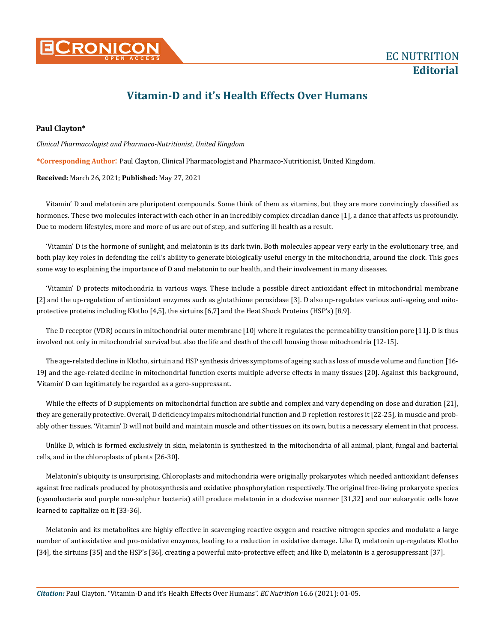

## **Vitamin-D and it's Health Effects Over Humans**

## **Paul Clayton\***

*Clinical Pharmacologist and Pharmaco-Nutritionist, United Kingdom*

**\*Corresponding Author**: Paul Clayton, Clinical Pharmacologist and Pharmaco-Nutritionist, United Kingdom.

**Received:** March 26, 2021; **Published:** May 27, 2021

Vitamin' D and melatonin are pluripotent compounds. Some think of them as vitamins, but they are more convincingly classified as hormones. These two molecules interact with each other in an incredibly complex circadian dance [1], a dance that affects us profoundly. Due to modern lifestyles, more and more of us are out of step, and suffering ill health as a result.

'Vitamin' D is the hormone of sunlight, and melatonin is its dark twin. Both molecules appear very early in the evolutionary tree, and both play key roles in defending the cell's ability to generate biologically useful energy in the mitochondria, around the clock. This goes some way to explaining the importance of D and melatonin to our health, and their involvement in many diseases.

'Vitamin' D protects mitochondria in various ways. These include a possible direct antioxidant effect in mitochondrial membrane [2] and the up-regulation of antioxidant enzymes such as glutathione peroxidase [3]. D also up-regulates various anti-ageing and mitoprotective proteins including Klotho [4,5], the sirtuins [6,7] and the Heat Shock Proteins (HSP's) [8,9].

The D receptor (VDR) occurs in mitochondrial outer membrane [10] where it regulates the permeability transition pore [11]. D is thus involved not only in mitochondrial survival but also the life and death of the cell housing those mitochondria [12-15].

The age-related decline in Klotho, sirtuin and HSP synthesis drives symptoms of ageing such as loss of muscle volume and function [16- 19] and the age-related decline in mitochondrial function exerts multiple adverse effects in many tissues [20]. Against this background, 'Vitamin' D can legitimately be regarded as a gero-suppressant.

While the effects of D supplements on mitochondrial function are subtle and complex and vary depending on dose and duration [21], they are generally protective. Overall, D deficiency impairs mitochondrial function and D repletion restores it [22-25], in muscle and probably other tissues. 'Vitamin' D will not build and maintain muscle and other tissues on its own, but is a necessary element in that process.

Unlike D, which is formed exclusively in skin, melatonin is synthesized in the mitochondria of all animal, plant, fungal and bacterial cells, and in the chloroplasts of plants [26-30].

Melatonin's ubiquity is unsurprising. Chloroplasts and mitochondria were originally prokaryotes which needed antioxidant defenses against free radicals produced by photosynthesis and oxidative phosphorylation respectively. The original free-living prokaryote species (cyanobacteria and purple non-sulphur bacteria) still produce melatonin in a clockwise manner [31,32] and our eukaryotic cells have learned to capitalize on it [33-36].

Melatonin and its metabolites are highly effective in scavenging reactive oxygen and reactive nitrogen species and modulate a large number of antioxidative and pro-oxidative enzymes, leading to a reduction in oxidative damage. Like D, melatonin up-regulates Klotho [34], the sirtuins [35] and the HSP's [36], creating a powerful mito-protective effect; and like D, melatonin is a gerosuppressant [37].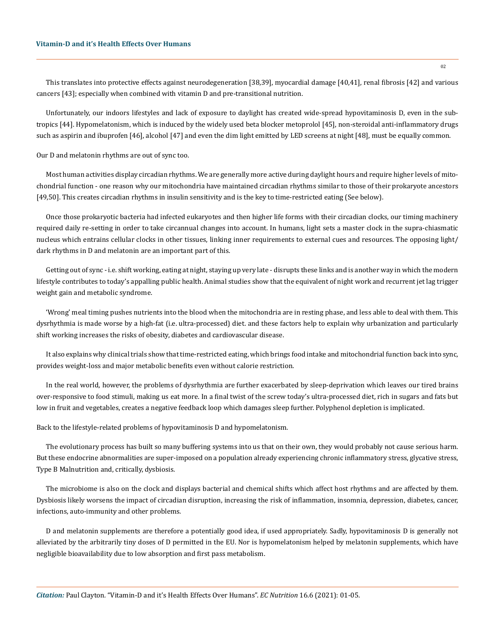This translates into protective effects against neurodegeneration [38,39], myocardial damage [40,41], renal fibrosis [42] and various cancers [43]; especially when combined with vitamin D and pre-transitional nutrition.

Unfortunately, our indoors lifestyles and lack of exposure to daylight has created wide-spread hypovitaminosis D, even in the subtropics [44]. Hypomelatonism, which is induced by the widely used beta blocker metoprolol [45], non-steroidal anti-inflammatory drugs such as aspirin and ibuprofen [46], alcohol [47] and even the dim light emitted by LED screens at night [48], must be equally common.

Our D and melatonin rhythms are out of sync too.

Most human activities display circadian rhythms. We are generally more active during daylight hours and require higher levels of mitochondrial function - one reason why our mitochondria have maintained circadian rhythms similar to those of their prokaryote ancestors [49,50]. This creates circadian rhythms in insulin sensitivity and is the key to time-restricted eating (See below).

Once those prokaryotic bacteria had infected eukaryotes and then higher life forms with their circadian clocks, our timing machinery required daily re-setting in order to take circannual changes into account. In humans, light sets a master clock in the supra-chiasmatic nucleus which entrains cellular clocks in other tissues, linking inner requirements to external cues and resources. The opposing light/ dark rhythms in D and melatonin are an important part of this.

Getting out of sync - i.e. shift working, eating at night, staying up very late - disrupts these links and is another way in which the modern lifestyle contributes to today's appalling public health. Animal studies show that the equivalent of night work and recurrent jet lag trigger weight gain and metabolic syndrome.

'Wrong' meal timing pushes nutrients into the blood when the mitochondria are in resting phase, and less able to deal with them. This dysrhythmia is made worse by a high-fat (i.e. ultra-processed) diet. and these factors help to explain why urbanization and particularly shift working increases the risks of obesity, diabetes and cardiovascular disease.

It also explains why clinical trials show that time-restricted eating, which brings food intake and mitochondrial function back into sync, provides weight-loss and major metabolic benefits even without calorie restriction.

In the real world, however, the problems of dysrhythmia are further exacerbated by sleep-deprivation which leaves our tired brains over-responsive to food stimuli, making us eat more. In a final twist of the screw today's ultra-processed diet, rich in sugars and fats but low in fruit and vegetables, creates a negative feedback loop which damages sleep further. Polyphenol depletion is implicated.

Back to the lifestyle-related problems of hypovitaminosis D and hypomelatonism.

The evolutionary process has built so many buffering systems into us that on their own, they would probably not cause serious harm. But these endocrine abnormalities are super-imposed on a population already experiencing chronic inflammatory stress, glycative stress, Type B Malnutrition and, critically, dysbiosis.

The microbiome is also on the clock and displays bacterial and chemical shifts which affect host rhythms and are affected by them. Dysbiosis likely worsens the impact of circadian disruption, increasing the risk of inflammation, insomnia, depression, diabetes, cancer, infections, auto-immunity and other problems.

D and melatonin supplements are therefore a potentially good idea, if used appropriately. Sadly, hypovitaminosis D is generally not alleviated by the arbitrarily tiny doses of D permitted in the EU. Nor is hypomelatonism helped by melatonin supplements, which have negligible bioavailability due to low absorption and first pass metabolism.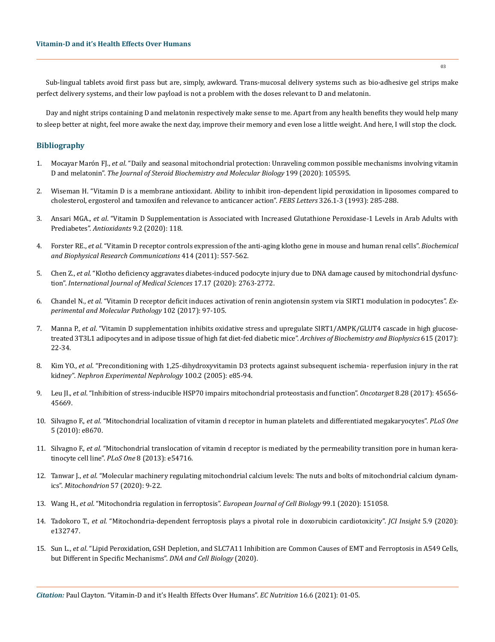Sub-lingual tablets avoid first pass but are, simply, awkward. Trans-mucosal delivery systems such as bio-adhesive gel strips make perfect delivery systems, and their low payload is not a problem with the doses relevant to D and melatonin.

Day and night strips containing D and melatonin respectively make sense to me. Apart from any health benefits they would help many to sleep better at night, feel more awake the next day, improve their memory and even lose a little weight. And here, I will stop the clock.

## **Bibliography**

- 1. Mocayar Marón FJ., *et al*[. "Daily and seasonal mitochondrial protection: Unraveling common possible mechanisms involving vitamin](https://pubmed.ncbi.nlm.nih.gov/31954766/)  D and melatonin". *[The Journal of Steroid Biochemistry and Molecular Biology](https://pubmed.ncbi.nlm.nih.gov/31954766/)* 199 (2020): 105595.
- 2. [Wiseman H. "Vitamin D is a membrane antioxidant. Ability to inhibit iron-dependent lipid peroxidation in liposomes compared to](https://pubmed.ncbi.nlm.nih.gov/8325381/)  [cholesterol, ergosterol and tamoxifen and relevance to anticancer action".](https://pubmed.ncbi.nlm.nih.gov/8325381/) *FEBS Letters* 326.1-3 (1993): 285-288.
- 3. Ansari MGA., *et al*[. "Vitamin D Supplementation is Associated with Increased Glutathione Peroxidase-1 Levels in Arab Adults with](https://www.ncbi.nlm.nih.gov/pmc/articles/PMC7070325/)  Prediabetes". *Antioxidants* [9.2 \(2020\): 118.](https://www.ncbi.nlm.nih.gov/pmc/articles/PMC7070325/)
- 4. Forster RE., *et al*[. "Vitamin D receptor controls expression of the anti-aging klotho gene in mouse and human renal cells".](https://www.ncbi.nlm.nih.gov/pmc/articles/PMC3209523/) *Biochemical [and Biophysical Research Communications](https://www.ncbi.nlm.nih.gov/pmc/articles/PMC3209523/)* 414 (2011): 557-562.
- 5. Chen Z., *et al*[. "Klotho deficiency aggravates diabetes-induced podocyte injury due to DNA damage caused by mitochondrial dysfunc](https://www.ncbi.nlm.nih.gov/pmc/articles/PMC7645346/)tion". *[International Journal of Medical Sciences](https://www.ncbi.nlm.nih.gov/pmc/articles/PMC7645346/)* 17.17 (2020): 2763-2772.
- 6. Chandel N., *et al*[. "Vitamin D receptor deficit induces activation of renin angiotensin system via SIRT1 modulation in podocytes".](https://pubmed.ncbi.nlm.nih.gov/28069388/) *Ex[perimental and Molecular Pathology](https://pubmed.ncbi.nlm.nih.gov/28069388/)* 102 (2017): 97-105.
- 7. Manna P., *et al*[. "Vitamin D supplementation inhibits oxidative stress and upregulate SIRT1/AMPK/GLUT4 cascade in high glucose](https://pubmed.ncbi.nlm.nih.gov/28063949/)[treated 3T3L1 adipocytes and in adipose tissue of high fat diet-fed diabetic mice".](https://pubmed.ncbi.nlm.nih.gov/28063949/) *Archives of Biochemistry and Biophysics* 615 (2017): [22-34.](https://pubmed.ncbi.nlm.nih.gov/28063949/)
- 8. Kim YO., *et al*[. "Preconditioning with 1,25-dihydroxyvitamin D3 protects against subsequent ischemia- reperfusion injury in the rat](https://pubmed.ncbi.nlm.nih.gov/15775722/)  kidney". *[Nephron Experimental Nephrology](https://pubmed.ncbi.nlm.nih.gov/15775722/)* 100.2 (2005): e85-94.
- 9. Leu JI., *et al*[. "Inhibition of stress-inducible HSP70 impairs mitochondrial proteostasis and function".](https://www.ncbi.nlm.nih.gov/pmc/articles/PMC5542216/) *Oncotarget* 8.28 (2017): 45656- [45669.](https://www.ncbi.nlm.nih.gov/pmc/articles/PMC5542216/)
- 10. Silvagno F., *et al*[. "Mitochondrial localization of vitamin d receptor in human platelets and differentiated megakaryocytes".](https://journals.plos.org/plosone/article?id=10.1371/journal.pone.0008670) *PLoS One* [5 \(2010\): e8670.](https://journals.plos.org/plosone/article?id=10.1371/journal.pone.0008670)
- 11. Silvagno F., *et al*[. "Mitochondrial translocation of vitamin d receptor is mediated by the permeability transition pore in human kera](https://journals.plos.org/plosone/article/comments?id=10.1371/journal.pone.0054716)tinocyte cell line". *PLoS One* [8 \(2013\): e54716.](https://journals.plos.org/plosone/article/comments?id=10.1371/journal.pone.0054716)
- 12. Tanwar J., *et al*[. "Molecular machinery regulating mitochondrial calcium levels: The nuts and bolts of mitochondrial calcium dynam](https://pubmed.ncbi.nlm.nih.gov/33316420/)ics". *Mitochondrion* [57 \(2020\): 9-22.](https://pubmed.ncbi.nlm.nih.gov/33316420/)
- 13. Wang H., *et al*[. "Mitochondria regulation in ferroptosis".](https://pubmed.ncbi.nlm.nih.gov/31810634/) *European Journal of Cell Biology* 99.1 (2020): 151058.
- 14. Tadokoro T., *et al*[. "Mitochondria-dependent ferroptosis plays a pivotal role in doxorubicin cardiotoxicity".](https://www.ncbi.nlm.nih.gov/pmc/articles/PMC7253028/) *JCI Insight* 5.9 (2020): [e132747.](https://www.ncbi.nlm.nih.gov/pmc/articles/PMC7253028/)
- 15. Sun L., *et al*[. "Lipid Peroxidation, GSH Depletion, and SLC7A11 Inhibition are Common Causes of EMT and Ferroptosis in A549 Cells,](https://pubmed.ncbi.nlm.nih.gov/33351681/)  [but Different in Specific Mechanisms".](https://pubmed.ncbi.nlm.nih.gov/33351681/) *DNA and Cell Biology* (2020).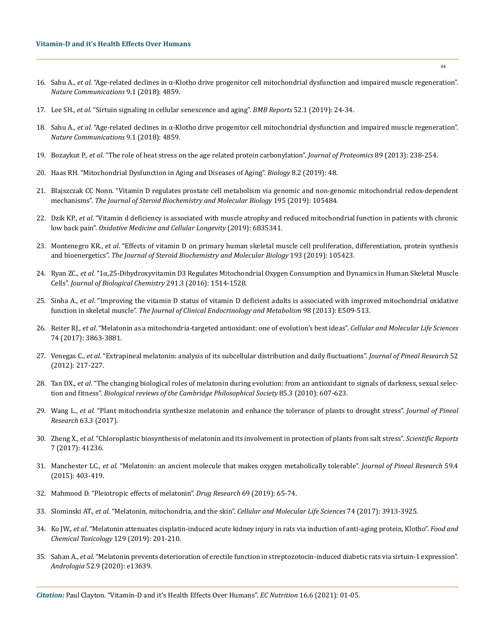- 16. Sahu A., *et al*[. "Age-related declines in α-Klotho drive progenitor cell mitochondrial dysfunction and impaired muscle regeneration".](https://www.nature.com/articles/s41467-018-07253-3)  *[Nature Communications](https://www.nature.com/articles/s41467-018-07253-3)* 9.1 (2018): 4859.
- 17. Lee SH., *et al*[. "Sirtuin signaling in cellular senescence and aging".](https://pubmed.ncbi.nlm.nih.gov/30526767/) *BMB Reports* 52.1 (2019): 24-34.
- 18. Sahu A., *et al*[. "Age-related declines in α-Klotho drive progenitor cell mitochondrial dysfunction and impaired muscle regeneration".](https://www.nature.com/articles/s41467-018-07253-3)  *[Nature Communications](https://www.nature.com/articles/s41467-018-07253-3)* 9.1 (2018): 4859.
- 19. Bozaykut P., *et al*[. "The role of heat stress on the age related protein carbonylation".](https://www.sciencedirect.com/science/article/abs/pii/S1874391913003515) *Journal of Proteomics* 89 (2013): 238-254.
- 20. [Haas RH. "Mitochondrial Dysfunction in Aging and Diseases of Aging".](https://www.ncbi.nlm.nih.gov/pmc/articles/PMC6627182/) *Biology* 8.2 (2019): 48.
- 21. [Blajszczak CC Nonn. "Vitamin D regulates prostate cell metabolism via genomic and non-genomic mitochondrial redox-dependent](https://www.ncbi.nlm.nih.gov/pmc/articles/PMC7040883/)  mechanisms". *[The Journal of Steroid Biochemistry and Molecular Biology](https://www.ncbi.nlm.nih.gov/pmc/articles/PMC7040883/)* 195 (2019): 105484.
- 22. Dzik KP., *et al*[. "Vitamin d deficiency is associated with muscle atrophy and reduced mitochondrial function in patients with chronic](https://www.hindawi.com/journals/omcl/2019/6835341/)  low back pain". *[Oxidative Medicine and Cellular Longevity](https://www.hindawi.com/journals/omcl/2019/6835341/)* (2019): 6835341.
- 23. Montenegro KR., *et al*[. "Effects of vitamin D on primary human skeletal muscle cell proliferation, differentiation, protein synthesis](https://www.sciencedirect.com/science/article/abs/pii/S0960076019301396)  and bioenergetics". *[The Journal of Steroid Biochemistry and Molecular Biology](https://www.sciencedirect.com/science/article/abs/pii/S0960076019301396)* 193 (2019): 105423.
- 24. Ryan ZC., *et al*[. "1α,25-Dihydroxyvitamin D3 Regulates Mitochondrial Oxygen Consumption and Dynamics in Human Skeletal Muscle](https://pubmed.ncbi.nlm.nih.gov/26601949/)  Cells". *[Journal of Biological Chemistry](https://pubmed.ncbi.nlm.nih.gov/26601949/)* 291.3 (2016): 1514-1528.
- 25. Sinha A., *et al*[. "Improving the vitamin D status of vitamin D deficient adults is associated with improved mitochondrial oxidative](https://pubmed.ncbi.nlm.nih.gov/23393184/)  function in skeletal muscle". *[The Journal of Clinical Endocrinology and Metabolism](https://pubmed.ncbi.nlm.nih.gov/23393184/)* 98 (2013): E509-513.
- 26. Reiter RJ., *et al*[. "Melatonin as a mitochondria-targeted antioxidant: one of evolution's best ideas".](https://link.springer.com/article/10.1007/s00018-017-2609-7) *Cellular and Molecular Life Sciences*  [74 \(2017\): 3863-3881.](https://link.springer.com/article/10.1007/s00018-017-2609-7)
- 27. Venegas C., *et al*[. "Extrapineal melatonin: analysis of its subcellular distribution and daily fluctuations".](https://www.researchgate.net/publication/51612834_Extrapineal_melatonin_Analysis_of_its_subcellular_distribution_and_daily_fluctuations) *Journal of Pineal Research* 52 [\(2012\): 217-227.](https://www.researchgate.net/publication/51612834_Extrapineal_melatonin_Analysis_of_its_subcellular_distribution_and_daily_fluctuations)
- 28. Tan DX., *et al*[. "The changing biological roles of melatonin during evolution: from an antioxidant to signals of darkness, sexual selec](https://onlinelibrary.wiley.com/doi/abs/10.1111/j.1469-185X.2009.00118.x)tion and fitness". *[Biological reviews of the Cambridge Philosophical Society](https://onlinelibrary.wiley.com/doi/abs/10.1111/j.1469-185X.2009.00118.x)* 85.3 (2010): 607-623.
- 29. Wang L., *et al*[. "Plant mitochondria synthesize melatonin and enhance the tolerance of plants to drought stress".](https://onlinelibrary.wiley.com/doi/10.1111/jpi.12429) *Journal of Pineal Research* [63.3 \(2017\).](https://onlinelibrary.wiley.com/doi/10.1111/jpi.12429)
- 30. Zheng X., *et al*[. "Chloroplastic biosynthesis of melatonin and its involvement in protection of plants from salt stress".](https://pubmed.ncbi.nlm.nih.gov/28145449/) *Scientific Reports*  [7 \(2017\): 41236.](https://pubmed.ncbi.nlm.nih.gov/28145449/)
- 31. Manchester LC., *et al*[. "Melatonin: an ancient molecule that makes oxygen metabolically tolerable".](https://www.readcube.com/articles/10.1111/jpi.12267) *Journal of Pineal Research* 59.4 [\(2015\): 403-419.](https://www.readcube.com/articles/10.1111/jpi.12267)
- 32. [Mahmood D. "Pleiotropic effects of melatonin".](https://www.researchgate.net/publication/326709389_Pleiotropic_Effects_of_Melatonin) *Drug Research* 69 (2019): 65-74.
- 33. Slominski AT., *et al*. "Melatonin, mitochondria, and the skin". *[Cellular and Molecular Life Sciences](https://pubmed.ncbi.nlm.nih.gov/28803347/)* 74 (2017): 3913-3925.
- 34. Ko JW., *et al*[. "Melatonin attenuates cisplatin-induced acute kidney injury in rats via induction of anti-aging protein, Klotho".](https://pubmed.ncbi.nlm.nih.gov/31039387/) *Food and [Chemical Toxicology](https://pubmed.ncbi.nlm.nih.gov/31039387/)* 129 (2019): 201-210.
- 35. Sahan A., *et al*[. "Melatonin prevents deterioration of erectile function in streptozotocin-induced diabetic rats via sirtuin-1 expression".](https://www.researchgate.net/publication/341811753_Melatonin_prevents_deterioration_of_erectile_function_in_streptozotocin-induced_diabetic_rats_via_sirtuin-1_expression)  *Andrologia* [52.9 \(2020\): e13639.](https://www.researchgate.net/publication/341811753_Melatonin_prevents_deterioration_of_erectile_function_in_streptozotocin-induced_diabetic_rats_via_sirtuin-1_expression)

*Citation:* Paul Clayton*.* "Vitamin-D and it's Health Effects Over Humans". *EC Nutrition* 16.6 (2021): 01-05.